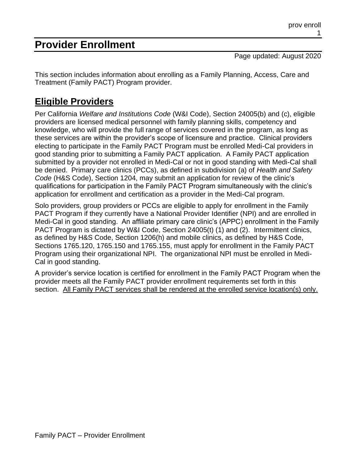# **Provider Enrollment**

Page updated: August 2020

This section includes information about enrolling as a Family Planning, Access, Care and Treatment (Family PACT) Program provider.

## **Eligible Providers**

Per California *Welfare and Institutions Code* (W&I Code), Section 24005(b) and (c), eligible providers are licensed medical personnel with family planning skills, competency and knowledge, who will provide the full range of services covered in the program, as long as these services are within the provider's scope of licensure and practice. Clinical providers electing to participate in the Family PACT Program must be enrolled Medi-Cal providers in good standing prior to submitting a Family PACT application. A Family PACT application submitted by a provider not enrolled in Medi-Cal or not in good standing with Medi-Cal shall be denied. Primary care clinics (PCCs), as defined in subdivision (a) of *Health and Safety Code* (H&S Code), Section 1204, may submit an application for review of the clinic's qualifications for participation in the Family PACT Program simultaneously with the clinic's application for enrollment and certification as a provider in the Medi-Cal program.

Solo providers, group providers or PCCs are eligible to apply for enrollment in the Family PACT Program if they currently have a National Provider Identifier (NPI) and are enrolled in Medi-Cal in good standing. An affiliate primary care clinic's (APPC) enrollment in the Family PACT Program is dictated by W&I Code, Section 24005(t) (1) and (2). Intermittent clinics, as defined by H&S Code, Section 1206(h) and mobile clinics, as defined by H&S Code, Sections 1765.120, 1765.150 and 1765.155, must apply for enrollment in the Family PACT Program using their organizational NPI. The organizational NPI must be enrolled in Medi-Cal in good standing.

A provider's service location is certified for enrollment in the Family PACT Program when the provider meets all the Family PACT provider enrollment requirements set forth in this section. All Family PACT services shall be rendered at the enrolled service location(s) only.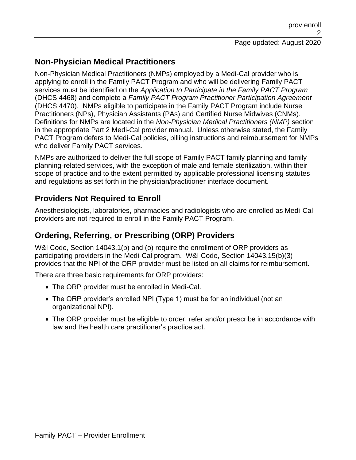### **Non-Physician Medical Practitioners**

Non-Physician Medical Practitioners (NMPs) employed by a Medi-Cal provider who is applying to enroll in the Family PACT Program and who will be delivering Family PACT services must be identified on the *Application to Participate in the Family PACT Program* (DHCS 4468) and complete a *Family PACT Program Practitioner Participation Agreement* (DHCS 4470). NMPs eligible to participate in the Family PACT Program include Nurse Practitioners (NPs), Physician Assistants (PAs) and Certified Nurse Midwives (CNMs). Definitions for NMPs are located in the *Non-Physician Medical Practitioners (NMP)* section in the appropriate Part 2 Medi-Cal provider manual. Unless otherwise stated, the Family PACT Program defers to Medi-Cal policies, billing instructions and reimbursement for NMPs who deliver Family PACT services.

NMPs are authorized to deliver the full scope of Family PACT family planning and family planning-related services, with the exception of male and female sterilization, within their scope of practice and to the extent permitted by applicable professional licensing statutes and regulations as set forth in the physician/practitioner interface document.

### **Providers Not Required to Enroll**

Anesthesiologists, laboratories, pharmacies and radiologists who are enrolled as Medi-Cal providers are not required to enroll in the Family PACT Program.

### **Ordering, Referring, or Prescribing (ORP) Providers**

W&I Code, Section 14043.1(b) and (o) require the enrollment of ORP providers as participating providers in the Medi-Cal program. W&I Code, Section 14043.15(b)(3) provides that the NPI of the ORP provider must be listed on all claims for reimbursement.

There are three basic requirements for ORP providers:

- The ORP provider must be enrolled in Medi-Cal.
- The ORP provider's enrolled NPI (Type 1) must be for an individual (not an organizational NPI).
- The ORP provider must be eligible to order, refer and/or prescribe in accordance with law and the health care practitioner's practice act.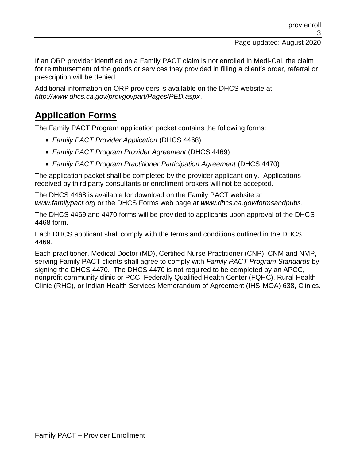If an ORP provider identified on a Family PACT claim is not enrolled in Medi-Cal, the claim for reimbursement of the goods or services they provided in filling a client's order, referral or prescription will be denied.

Additional information on ORP providers is available on the DHCS website at *http://www.dhcs.ca.gov/provgovpart/Pages/PED.aspx*.

## **Application Forms**

The Family PACT Program application packet contains the following forms:

- *Family PACT Provider Application* (DHCS 4468)
- *Family PACT Program Provider Agreement* (DHCS 4469)
- *Family PACT Program Practitioner Participation Agreement* (DHCS 4470)

The application packet shall be completed by the provider applicant only. Applications received by third party consultants or enrollment brokers will not be accepted.

The DHCS 4468 is available for download on the Family PACT website at *www.familypact.org* or the DHCS Forms web page at *www.dhcs.ca.gov/formsandpubs*.

The DHCS 4469 and 4470 forms will be provided to applicants upon approval of the DHCS 4468 form.

Each DHCS applicant shall comply with the terms and conditions outlined in the DHCS 4469.

Each practitioner, Medical Doctor (MD), Certified Nurse Practitioner (CNP), CNM and NMP, serving Family PACT clients shall agree to comply with *Family PACT Program Standards* by signing the DHCS 4470. The DHCS 4470 is not required to be completed by an APCC, nonprofit community clinic or PCC, Federally Qualified Health Center (FQHC), Rural Health Clinic (RHC), or Indian Health Services Memorandum of Agreement (IHS-MOA) 638, Clinics.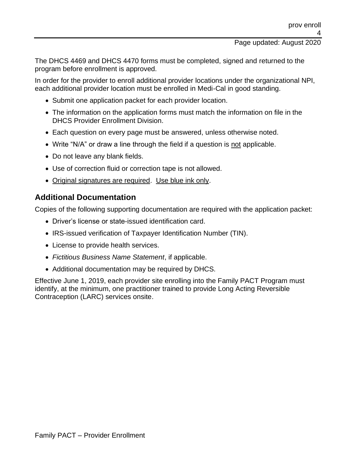The DHCS 4469 and DHCS 4470 forms must be completed, signed and returned to the program before enrollment is approved.

In order for the provider to enroll additional provider locations under the organizational NPI, each additional provider location must be enrolled in Medi-Cal in good standing.

- Submit one application packet for each provider location.
- The information on the application forms must match the information on file in the DHCS Provider Enrollment Division.
- Each question on every page must be answered, unless otherwise noted.
- Write "N/A" or draw a line through the field if a question is not applicable.
- Do not leave any blank fields.
- Use of correction fluid or correction tape is not allowed.
- Original signatures are required. Use blue ink only.

### **Additional Documentation**

Copies of the following supporting documentation are required with the application packet:

- Driver's license or state-issued identification card.
- IRS-issued verification of Taxpayer Identification Number (TIN).
- License to provide health services.
- *Fictitious Business Name Statement*, if applicable.
- Additional documentation may be required by DHCS.

Effective June 1, 2019, each provider site enrolling into the Family PACT Program must identify, at the minimum, one practitioner trained to provide Long Acting Reversible Contraception (LARC) services onsite.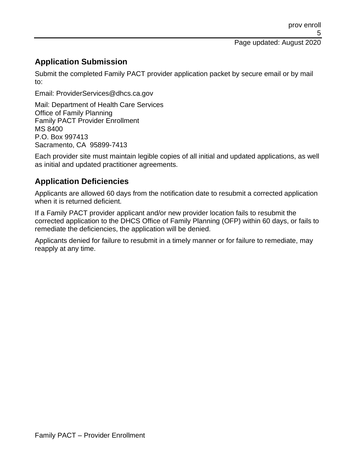### **Application Submission**

Submit the completed Family PACT provider application packet by secure email or by mail to:

Email: ProviderServices@dhcs.ca.gov

Mail: Department of Health Care Services Office of Family Planning Family PACT Provider Enrollment MS 8400 P.O. Box 997413 Sacramento, CA 95899-7413

Each provider site must maintain legible copies of all initial and updated applications, as well as initial and updated practitioner agreements.

### **Application Deficiencies**

Applicants are allowed 60 days from the notification date to resubmit a corrected application when it is returned deficient.

If a Family PACT provider applicant and/or new provider location fails to resubmit the corrected application to the DHCS Office of Family Planning (OFP) within 60 days, or fails to remediate the deficiencies, the application will be denied.

Applicants denied for failure to resubmit in a timely manner or for failure to remediate, may reapply at any time.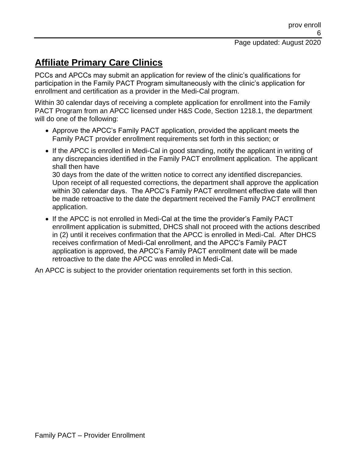# **Affiliate Primary Care Clinics**

PCCs and APCCs may submit an application for review of the clinic's qualifications for participation in the Family PACT Program simultaneously with the clinic's application for enrollment and certification as a provider in the Medi-Cal program.

Within 30 calendar days of receiving a complete application for enrollment into the Family PACT Program from an APCC licensed under H&S Code, Section 1218.1, the department will do one of the following:

- Approve the APCC's Family PACT application, provided the applicant meets the Family PACT provider enrollment requirements set forth in this section; or
- If the APCC is enrolled in Medi-Cal in good standing, notify the applicant in writing of any discrepancies identified in the Family PACT enrollment application. The applicant shall then have

30 days from the date of the written notice to correct any identified discrepancies. Upon receipt of all requested corrections, the department shall approve the application within 30 calendar days. The APCC's Family PACT enrollment effective date will then be made retroactive to the date the department received the Family PACT enrollment application.

• If the APCC is not enrolled in Medi-Cal at the time the provider's Family PACT enrollment application is submitted, DHCS shall not proceed with the actions described in (2) until it receives confirmation that the APCC is enrolled in Medi-Cal. After DHCS receives confirmation of Medi-Cal enrollment, and the APCC's Family PACT application is approved, the APCC's Family PACT enrollment date will be made retroactive to the date the APCC was enrolled in Medi-Cal.

An APCC is subject to the provider orientation requirements set forth in this section.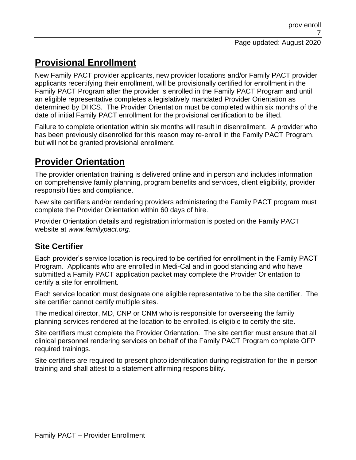# **Provisional Enrollment**

New Family PACT provider applicants, new provider locations and/or Family PACT provider applicants recertifying their enrollment, will be provisionally certified for enrollment in the Family PACT Program after the provider is enrolled in the Family PACT Program and until an eligible representative completes a legislatively mandated Provider Orientation as determined by DHCS. The Provider Orientation must be completed within six months of the date of initial Family PACT enrollment for the provisional certification to be lifted.

Failure to complete orientation within six months will result in disenrollment. A provider who has been previously disenrolled for this reason may re-enroll in the Family PACT Program, but will not be granted provisional enrollment.

## **Provider Orientation**

The provider orientation training is delivered online and in person and includes information on comprehensive family planning, program benefits and services, client eligibility, provider responsibilities and compliance.

New site certifiers and/or rendering providers administering the Family PACT program must complete the Provider Orientation within 60 days of hire.

Provider Orientation details and registration information is posted on the Family PACT website at *www.familypact.org*.

### **Site Certifier**

Each provider's service location is required to be certified for enrollment in the Family PACT Program. Applicants who are enrolled in Medi-Cal and in good standing and who have submitted a Family PACT application packet may complete the Provider Orientation to certify a site for enrollment.

Each service location must designate one eligible representative to be the site certifier. The site certifier cannot certify multiple sites.

The medical director, MD, CNP or CNM who is responsible for overseeing the family planning services rendered at the location to be enrolled, is eligible to certify the site.

Site certifiers must complete the Provider Orientation. The site certifier must ensure that all clinical personnel rendering services on behalf of the Family PACT Program complete OFP required trainings.

Site certifiers are required to present photo identification during registration for the in person training and shall attest to a statement affirming responsibility.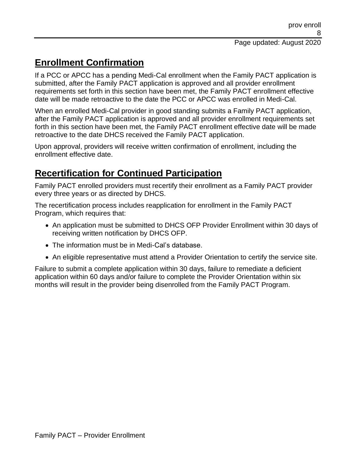## **Enrollment Confirmation**

If a PCC or APCC has a pending Medi-Cal enrollment when the Family PACT application is submitted, after the Family PACT application is approved and all provider enrollment requirements set forth in this section have been met, the Family PACT enrollment effective date will be made retroactive to the date the PCC or APCC was enrolled in Medi-Cal.

When an enrolled Medi-Cal provider in good standing submits a Family PACT application, after the Family PACT application is approved and all provider enrollment requirements set forth in this section have been met, the Family PACT enrollment effective date will be made retroactive to the date DHCS received the Family PACT application.

Upon approval, providers will receive written confirmation of enrollment, including the enrollment effective date.

# **Recertification for Continued Participation**

Family PACT enrolled providers must recertify their enrollment as a Family PACT provider every three years or as directed by DHCS.

The recertification process includes reapplication for enrollment in the Family PACT Program, which requires that:

- An application must be submitted to DHCS OFP Provider Enrollment within 30 days of receiving written notification by DHCS OFP.
- The information must be in Medi-Cal's database.
- An eligible representative must attend a Provider Orientation to certify the service site.

Failure to submit a complete application within 30 days, failure to remediate a deficient application within 60 days and/or failure to complete the Provider Orientation within six months will result in the provider being disenrolled from the Family PACT Program.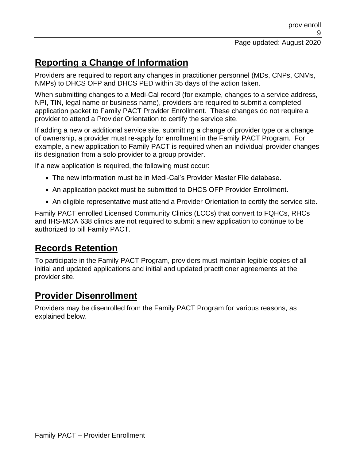## **Reporting a Change of Information**

Providers are required to report any changes in practitioner personnel (MDs, CNPs, CNMs, NMPs) to DHCS OFP and DHCS PED within 35 days of the action taken.

When submitting changes to a Medi-Cal record (for example, changes to a service address, NPI, TIN, legal name or business name), providers are required to submit a completed application packet to Family PACT Provider Enrollment. These changes do not require a provider to attend a Provider Orientation to certify the service site.

If adding a new or additional service site, submitting a change of provider type or a change of ownership, a provider must re-apply for enrollment in the Family PACT Program. For example, a new application to Family PACT is required when an individual provider changes its designation from a solo provider to a group provider.

If a new application is required, the following must occur:

- The new information must be in Medi-Cal's Provider Master File database.
- An application packet must be submitted to DHCS OFP Provider Enrollment.
- An eligible representative must attend a Provider Orientation to certify the service site.

Family PACT enrolled Licensed Community Clinics (LCCs) that convert to FQHCs, RHCs and IHS-MOA 638 clinics are not required to submit a new application to continue to be authorized to bill Family PACT.

## **Records Retention**

To participate in the Family PACT Program, providers must maintain legible copies of all initial and updated applications and initial and updated practitioner agreements at the provider site.

## **Provider Disenrollment**

Providers may be disenrolled from the Family PACT Program for various reasons, as explained below.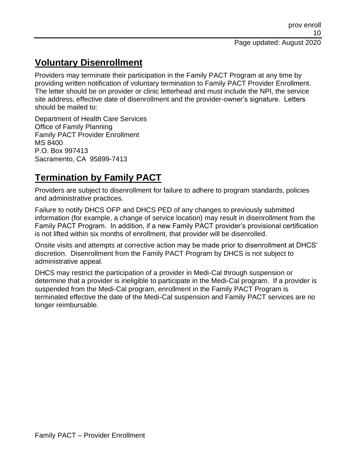## **Voluntary Disenrollment**

Providers may terminate their participation in the Family PACT Program at any time by providing written notification of voluntary termination to Family PACT Provider Enrollment. The letter should be on provider or clinic letterhead and must include the NPI, the service site address, effective date of disenrollment and the provider-owner's signature. Letters should be mailed to:

Department of Health Care Services Office of Family Planning Family PACT Provider Enrollment MS 8400 P.O. Box 997413 Sacramento, CA 95899-7413

## **Termination by Family PACT**

Providers are subject to disenrollment for failure to adhere to program standards, policies and administrative practices.

Failure to notify DHCS OFP and DHCS PED of any changes to previously submitted information (for example, a change of service location) may result in disenrollment from the Family PACT Program. In addition, if a new Family PACT provider's provisional certification is not lifted within six months of enrollment, that provider will be disenrolled.

Onsite visits and attempts at corrective action may be made prior to disenrollment at DHCS' discretion. Disenrollment from the Family PACT Program by DHCS is not subject to administrative appeal.

DHCS may restrict the participation of a provider in Medi-Cal through suspension or determine that a provider is ineligible to participate in the Medi-Cal program. If a provider is suspended from the Medi-Cal program, enrollment in the Family PACT Program is terminated effective the date of the Medi-Cal suspension and Family PACT services are no longer reimbursable.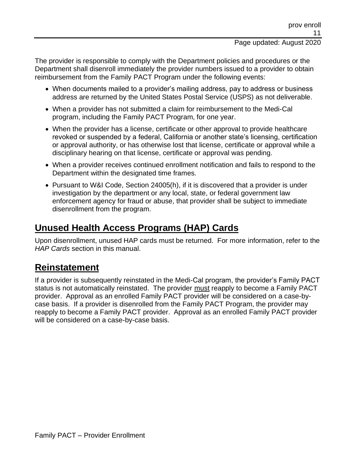The provider is responsible to comply with the Department policies and procedures or the Department shall disenroll immediately the provider numbers issued to a provider to obtain reimbursement from the Family PACT Program under the following events:

- When documents mailed to a provider's mailing address, pay to address or business address are returned by the United States Postal Service (USPS) as not deliverable.
- When a provider has not submitted a claim for reimbursement to the Medi-Cal program, including the Family PACT Program, for one year.
- When the provider has a license, certificate or other approval to provide healthcare revoked or suspended by a federal, California or another state's licensing, certification or approval authority, or has otherwise lost that license, certificate or approval while a disciplinary hearing on that license, certificate or approval was pending.
- When a provider receives continued enrollment notification and fails to respond to the Department within the designated time frames.
- Pursuant to W&I Code, Section 24005(h), if it is discovered that a provider is under investigation by the department or any local, state, or federal government law enforcement agency for fraud or abuse, that provider shall be subject to immediate disenrollment from the program.

## **Unused Health Access Programs (HAP) Cards**

Upon disenrollment, unused HAP cards must be returned. For more information, refer to the *HAP Cards* section in this manual.

### **Reinstatement**

If a provider is subsequently reinstated in the Medi-Cal program, the provider's Family PACT status is not automatically reinstated. The provider must reapply to become a Family PACT provider. Approval as an enrolled Family PACT provider will be considered on a case-bycase basis. If a provider is disenrolled from the Family PACT Program, the provider may reapply to become a Family PACT provider. Approval as an enrolled Family PACT provider will be considered on a case-by-case basis.